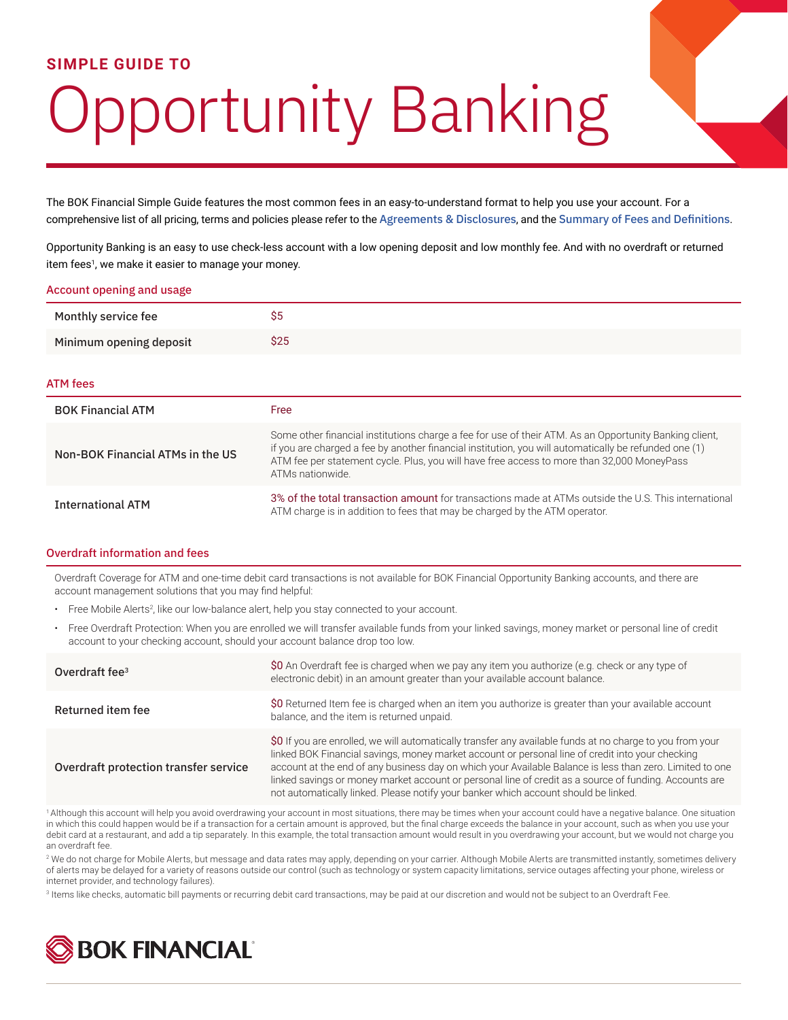# **SIMPLE GUIDE TO**

# **Pportunity Banking**

The BOK Financial Simple Guide features the most common fees in an easy-to-understand format to help you use your account. For a comprehensive list of all pricing, terms and policies please refer to the [Agreements & Disclosures](https://www.bokfinancial.com/oao/co/agreements-disclosures), and the [Summary of Fees and Definitions](https://www.bokfinancial.com/oao/co/summary-of-fees).

Opportunity Banking is an easy to use check-less account with a low opening deposit and low monthly fee. And with no overdraft or returned item fees<sup>1</sup>, we make it easier to manage your money.

#### Account opening and usage

| Monthly service fee     | ົ<br>ວວ |
|-------------------------|---------|
| Minimum opening deposit | \$25    |

#### ATM fees

| <b>BOK Financial ATM</b>         | Free                                                                                                                                                                                                                                                                                                                              |
|----------------------------------|-----------------------------------------------------------------------------------------------------------------------------------------------------------------------------------------------------------------------------------------------------------------------------------------------------------------------------------|
| Non-BOK Financial ATMs in the US | Some other financial institutions charge a fee for use of their ATM. As an Opportunity Banking client,<br>if you are charged a fee by another financial institution, you will automatically be refunded one (1)<br>ATM fee per statement cycle. Plus, you will have free access to more than 32,000 MoneyPass<br>ATMs nationwide. |
| <b>International ATM</b>         | 3% of the total transaction amount for transactions made at ATMs outside the U.S. This international<br>ATM charge is in addition to fees that may be charged by the ATM operator.                                                                                                                                                |

# Overdraft information and fees

Overdraft Coverage for ATM and one-time debit card transactions is not available for BOK Financial Opportunity Banking accounts, and there are account management solutions that you may find helpful:

- Free Mobile Alerts<sup>2</sup>, like our low-balance alert, help you stay connected to your account.
- Free Overdraft Protection: When you are enrolled we will transfer available funds from your linked savings, money market or personal line of credit account to your checking account, should your account balance drop too low.

| Overdraft fee <sup>3</sup>            | \$0 An Overdraft fee is charged when we pay any item you authorize (e.g. check or any type of<br>electronic debit) in an amount greater than your available account balance.                                                                                                                                                                                                                                                                                                                                               |
|---------------------------------------|----------------------------------------------------------------------------------------------------------------------------------------------------------------------------------------------------------------------------------------------------------------------------------------------------------------------------------------------------------------------------------------------------------------------------------------------------------------------------------------------------------------------------|
| Returned item fee                     | \$0 Returned Item fee is charged when an item you authorize is greater than your available account<br>balance, and the item is returned unpaid.                                                                                                                                                                                                                                                                                                                                                                            |
| Overdraft protection transfer service | \$0 If you are enrolled, we will automatically transfer any available funds at no charge to you from your<br>linked BOK Financial savings, money market account or personal line of credit into your checking<br>account at the end of any business day on which your Available Balance is less than zero. Limited to one<br>linked savings or money market account or personal line of credit as a source of funding. Accounts are<br>not automatically linked. Please notify your banker which account should be linked. |

1 Although this account will help you avoid overdrawing your account in most situations, there may be times when your account could have a negative balance. One situation in which this could happen would be if a transaction for a certain amount is approved, but the final charge exceeds the balance in your account, such as when you use your debit card at a restaurant, and add a tip separately. In this example, the total transaction amount would result in you overdrawing your account, but we would not charge you an overdraft fee

<sup>2</sup> We do not charge for Mobile Alerts, but message and data rates may apply, depending on your carrier. Although Mobile Alerts are transmitted instantly, sometimes delivery of alerts may be delayed for a variety of reasons outside our control (such as technology or system capacity limitations, service outages affecting your phone, wireless or internet provider, and technology failures).

<sup>3</sup> Items like checks, automatic bill payments or recurring debit card transactions, may be paid at our discretion and would not be subject to an Overdraft Fee.